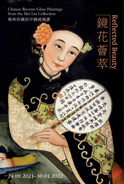Chinese Reverse Glass Paintings from the Mei Lin Collection 梅林珍藏的中國玻璃畫

<u>Reflected Beaut</u>

F<br>L

溪 鱼

一个老师 大水海区

医学家

大学 医单体 医单体 经经济 大大学 医子宫 化十分分析

婆

24.09.2021–30.01.2022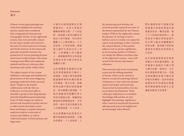#### Foreword 前言

Chinese reverse glass paintings have rarely been displayed in museums and few studies have considered their compositional elements and iconographic themes. In the eighteenth century, they were primarily created for the export market and catered to the taste of western patrons in Europe and North America. In the nineteenth and early twentieth centuries, the production of reverse paintings became much more locally focused, with artists creating scenes filled with auspicious symbols and literary references that merchants sold mainly within China.

The subject matter of the current exhibition is the large and multifaceted phenomenon of the more indigenous paintings rendered in finely executed detail. Thanks to the fruitful collaboration with the Mei Lin Collection, we have been able to assemble a group of late Qing dynasty and early Republican period paintings. Some of these images are styled as mirrors and mounted as pocket mirrors or table screens that depict scenes from mythology or popular literature, auspicious objects or portraits of women and children, as well as 'reflected beauties' in both intimate and larger sizes.

中國反向玻璃畫鮮有在博 物館展出,亦甚少重視其 構圖和圖像主題。十八世紀 時,玻璃畫主要為向歐美市 場出口的外銷畫,符合西洋 購藏人士之審美眼光。十九 世紀和二十世紀初期,玻璃 畫之創作生產面向本土市 場,主要購藏人為中國商 人,畫師繪製帶有吉祥寓意 的場景及與中國文學息息 相關的主題。

是次展覽從多個層次呈現 這些刻畫細緻的中國本土 玻璃畫。香港大學美術博物 館感謝與梅林珍藏的寶貴 合作機會,集合呈現一批晚 晴和民國早期的玻璃畫精 品。部分圖像以玻璃鏡、手 執化妝鏡或屏風擺件等不 同形式風格出現,描繪神話 傳說和民間傳統故事、吉祥 清供、婦女兒童肖像畫及美 人肖像玻璃畫,尺寸各異。

是次展覽陳列這批專為中 國市場創製的玻璃畫,主題 內容豐富。十八世紀時,人 By introducing such diversity, the artworks provide a general overview of the themes represented for the Chinese market. While in the eighteenth century the pleasure of viewing a Canton harbour scene in London was typical for export trade paintings, in later centuries the cultural identity of the painted subjects took on greater significance, as an increasing number of Chinese not simply the affluent merchant class of the eighteenth century—were well versed in the literary and musical references.

These portraits also focus on domestic scenes and the shifting standards of beauty, which can be viewed as historic records documenting Chinese civilisation at a time when the dynastic system had ended, and modernity characterised not just politics, but also sociocultural developments. These values give importance to a medium that bridges folk and fine art and highlights the paintings' significance when viewed as exceptional documents offering rarely preserved insights into an increasingly urban lifestyle.

們在倫敦的家中透過外銷 玻璃畫自如地欣賞遠在廣 東港的佳景。數世紀後,除 了十八世紀的富裕商人,愈 來愈多中國民眾熟諳畫中 的文學主題及相關戲劇內 容和音樂,從而賦予這些玻 璃畫更為豐富而深刻的文 化身份。

此外玻璃畫聚焦家居場景 和變化中的的審美標準。這 些圖畫可被視作中國文明 之歷史記載,從政治、文化 和社會發展多個方向,見證 皇朝政權結束後中國社會 的現代性轉型。這些珍貴的 視覺材料作為連接民間藝 術和精緻藝術的媒介之意 義從而變得尤為重要。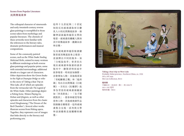# Scenes from Popular Literature 民間傳統故事

The colloquial character of nineteenthand early twentieth-century reverse glass paintings is exemplified in those scenes taken from mythology and popular literature. The clientele of these artworks were familiar with the references to the literary tales, dramatic performances and musical compositions.

Some of the commonly painted scenes, such as the *White Snake Stealing Medicinal Herbs*, existed in many versions in different renderings as both reverse glass paintings and popular prints, some with extended surroundings, additional details or a larger cast of characters. Other depictions show the Green Snake in the *Fight at Duanqiao Bridge* or refer to the story of *Taking a Boat Trip on West Lake*, all of which are episodes from the vernacular tale *The Legend of the White Snake*. Other paintings depict a *Fishing Scene*, *Women Playing Go*, *Xichun* and *Qingwen*, as well as other episodes and characters from the classic novel *Hongloumeng* ('The Dream of the Red Chamber'). Several other works illustrate scenes from Peking opera. Together, they represent a set of images that links directly to the literary and performing arts.

這些十九世紀與二十世紀 初的反向玻璃畫取材自膾 炙人口的民間傳統故事,描 繪神話演義和通俗文學的 場景。玻璃畫的購藏人熟知 其中的傳說故事、戲劇內容 和音樂。

反向玻璃畫和通俗版畫繪 製常採用傳說故事之場景, 並演繹出不同的版本。如 「白蛇盜仙草」曾多次出 現在玻璃畫和版畫的諸多 版本中,繪製者時而延申 故事場景,時而添加細節, 亦會增加人物。其他場景如 「青蛇斷橋之戰」和「遊西 湖」均出自民間傳說《白蛇 傳》。另有以《紅樓夢》故 事為背景的玻璃畫描繪諸 如「四美釣魚」、「女子圍 棋對弈」、惜春和晴雯等場 景和人物。其他玻璃畫作品 則描繪京劇場景。這些玻璃 畫集合呈現一系列與文學 和表演藝術直接關聯的圖 像。



**Taking a boat trip on West Lake** Probably Hebei province, Northern China, ca. 1930 393 x 597 mm Mei Lin Collection, B414

#### **遊西湖**

中國北方,河北省 (傳),約 1930年 393 x 597 毫米 梅林珍藏,B414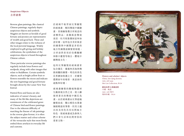### Auspicious Objects 吉祥清供

Reverse glass paintings, like classical Chinese paintings, regularly depict auspicious objects and symbols. Magpies are known as heralds of good fortune and peonies are representative of wealth and good luck. These and other images relate to the richness of the local pictorial language. Widely employed in gift-giving and holiday celebrations, the symbolism of the auspicious objects is found throughout Chinese culture.

These particular reverse paintings also regularly include lotus flowers and seedpods, along with other images that relate to Buddhism. Certain symbolic objects, such as bright yellow fruit or flowers resemble the moon and indicate the new beginnings and good fortune brought about by the Lunar New Year festival.

Painted flora and fauna are also indicative of nature's beauty, and many of the life-like depictions are reminiscent of the celebrated genre of Chinese bird-and-flower paintings. Due to the inherent difficulty of matching the finesse of ink paintings in the reverse glass format, it is often the subject matter and colour scheme of the vernacular style that most firmly embed these artefacts in everyday life and customs.

於玻璃平板背面反筆繪製 的玻璃畫,類同傳統中國繪 畫,常描繪象徵吉祥寓意的 清雅供品。喜鵲寓意傳達 喜訊,牡丹則象徵財富和如 意好運。這些包含美好寓意 的圖像與中國豐富多彩的 地方性圖像語匯緊密相連。 吉祥清供常用於佳禮餽贈 和節日慶賀等場合,體現中 國傳統文化。

這些反筆繪製的玻璃畫常 包含蓮花、蓮蓬和其他與佛 教相關的圖像。明亮的黃色 花果猶如皎潔之月,於慶賀 農曆新年的場景,寓意新的 起點和好運。

玻璃畫繪製的動植物題材 生動展現自然之美,使人聯 想到著名的傳統中國花鳥 畫。由於玻璃畫由反筆起稿 繪製而成,難以模仿水墨畫 細緻精湛的筆墨,但其主題 內容及用色具有民間地方 特色,使玻璃畫成為參與人 們日常生活和民間習俗的 重要文物。



**Flowers and scholars' objects** China, late Qing dynasty 348 x 495 mm Mei Lin Collection, B124

**鮮花及學士書齋清供** 中國,晚清 348 x 495 毫米 梅林珍藏,B124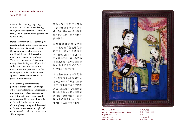# Portraits of Women and Children 婦女兒童肖像

Reverse glass paintings depicting women with children are endearing and symbolic images that celebrate the family and the continuity of generations within a clan.

Stylistically many of these paintings also reveal much about the rapidly changing fashions of early twentieth-century China. Women are shown wearing traditional dresses while carrying modern, western-style handbags. They also portray natural feet, even though foot-binding was still practiced at the time. Here, the naturalistic style and western perspective of the contemporary calendar illustration appear to have been models for this genre of glass painting.

Some paintings commemorate particular events, such as weddings or other family celebrations. Larger scenes may include a western perspective, a stylistic quality rarely seen in early compositions. These examples testify to the varied influences in local Chinese glass painting workshops and to the fashions—in content, style and technique—that individual artists were able to express.

這些以婦女和兒童肖像為 主題的玻璃畫深受人們喜 愛,傳達對和睦家庭生活與 家族血脈延續、薪火相傳之 美好嚮往。

這些玻璃畫亦揭示中國 二十世紀初演變迅速的服 飾文化。婦女穿著傳統服 裝,攜現代的西式手袋。亦 可見自然天足,雖然當時仍 有婦女纏足。這類玻璃畫的 婦女形象以當時流行的月 份牌女郎作模特原型。

玻璃畫亦會紀念特別的場 合,如婚禮和其他家庭生活 之節慶場景。在描繪大型場 景時,畫師或採以西式透視 技法,這在更早的玻璃畫構 圖中極為罕見。足見畫師透 過內容、風格和技巧,對中 國本土玻璃畫作坊之發展 和創作方式產生多樣影響。



**Mother and children** Probably Shandong province, China, Republican period 392 x 286 mm Mei Lin Collection, C087

**母親與孩童** 中國山東省 ( 傳 ) 民國 392 x 286 毫米 梅林珍藏,C087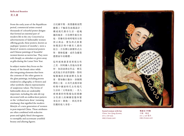## Reflected Beauties 美人畫

From the early years of the Republican period, commercial artists created thousands of colourful poster designs that formed an essential part of modern life in the city. Conceived as advertisements of fashionable women offering goods, these posters, known as *yuefenpai* ('posters of months'), were a blend of western commercial posters and Chinese paintings of beautiful women known as *meiren hua*. They were sold cheaply as calendars or given away as gifts during the Lunar New Year.

In subject matter they focus on the beauty of the female sitter while also integrating elements that form the contents of the other genres in the glass paintings, including poems rendered in calligraphy, or flowers and other symbolic objects representative of auspicious values. The forms of fashionable dress are undeniably important, including the side-slit top decorated with an endless knot pattern or the 'civilized new dress' (*wenming xinzhuang*) that signified the modern lifestyle of a new generation of women in post-imperial China. These attributes are often combined with seductive poses and tightly fitted cheongsams to exemplify and accentuate youthful beauty and alluring figures.

自民國早期,商業藝術家們 繪製上千幅彩色海報設計, 構成現代都市生活一道瑰 麗的風景。月份牌作廣告用 途,常繪有扮相時髦的女郎 展示商品,實為西式商業 海報設計與中國美人畫的 結合。月份牌以掛歷形式出 售,價格低廉,或作為慶賀 農曆新年的贈禮。

這些玻璃畫著重展現女性 之美,同時融入其他內容素 材,如詩詞書法作品、鮮花 或其他吉祥清供器物。對時 髦服飾的多樣演繹尤為重 要,譬如飾以盤扣、斜側開 襟的上裝,以及代表後帝制 時期中國新時代女性現代 生活的「文明新裝」。美人 玻璃畫的特點還包括描繪 女性誘人的婀娜姿態和緊 身長衫 ( 旗袍 ),烘托青春 佳麗的迷人身姿。



**Seated woman with fan** China, late Qing dynasty 653 x 449 mm HKU.P.2020.2495

**執扇女子坐像** 中國,晚清 653 x 449 毫米 HKU.P.2020.2495